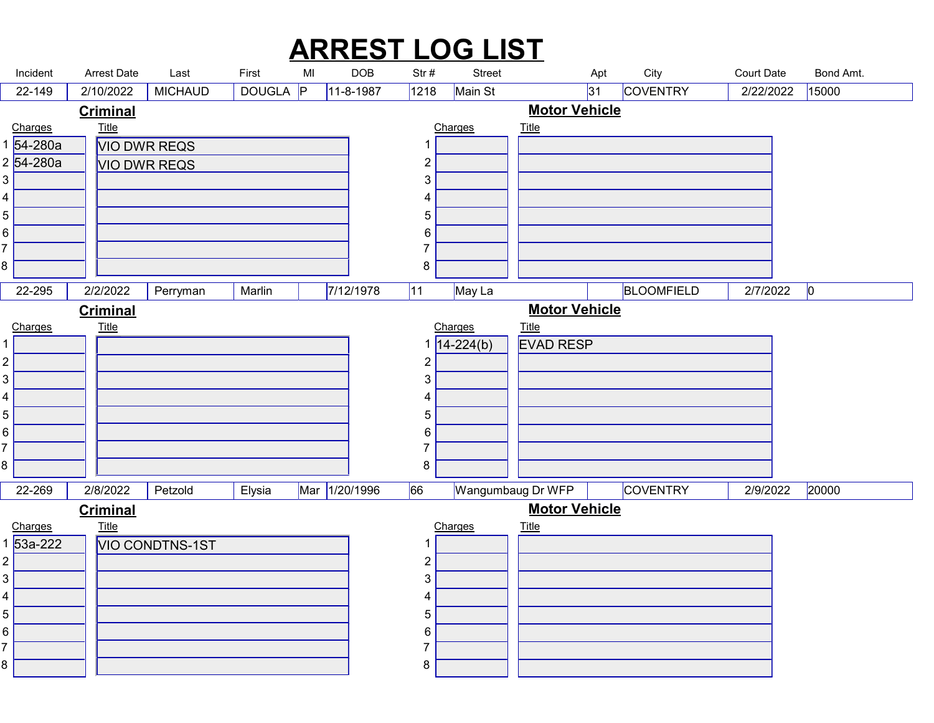## ARREST LOG LIST

| <b>ARREST LOG LIST</b><br><b>Court Date</b><br>Incident<br><b>Arrest Date</b><br>MI<br><b>DOB</b><br>Str#<br>City<br>Last<br>First<br><b>Street</b><br>Apt<br>Main St<br>COVENTRY<br>15000<br>DOUGLA P<br> 1218<br> 31 <br>22-149<br>2/10/2022<br><b>MICHAUD</b><br>$11-8-1987$<br>2/22/2022<br><b>Motor Vehicle</b><br><b>Criminal</b><br><u>Title</u><br><b>Title</b><br>Charges<br>Charges<br>1 54-280a<br><b>VIO DWR REQS</b><br>-1<br>2 54-280a<br>$\overline{c}$<br><b>VIO DWR REQS</b><br>3<br>$\mathfrak{S}$<br>4<br>4<br>5<br>$5\phantom{.0}$<br>6<br>6<br>$\overline{7}$<br>8<br>8<br>7/12/1978<br>May La<br>$2/7/2022$ 0<br>$22-295$<br> 11 <br>BLOOMFIELD<br>2/2/2022 Perryman Marlin<br><b>Motor Vehicle</b><br><b>Criminal</b><br><b>Title</b><br>Charges<br>Charges<br><b>Title</b><br><b>EVAD RESP</b><br>$\sqrt{14 - 224(b)}$<br>$\overline{c}$<br>$\overline{c}$<br>$\mathfrak{S}$<br>3<br>4<br>4<br>5<br>5<br>6<br>6<br>7<br>8<br>8<br>Mar 1/20/1996<br>66<br><b>COVENTRY</b><br>Wangumbaug Dr WFP<br>2/9/2022<br>20000<br>2/8/2022<br>Elysia<br>22-269<br>Petzold<br><b>Motor Vehicle</b><br><b>Criminal</b><br>$Title$<br><b>Title</b><br>Charges<br>Charges<br>$1\overline{53a-222}$<br>VIO CONDTNS-1ST<br>$\overline{c}$<br>$\overline{c}$<br>3 <br>$\mathfrak{S}$<br>4<br>4<br>$\sqrt{5}$<br>5<br>6<br>6<br>7<br>8<br>8 |  |  |  |  |  |  |
|-------------------------------------------------------------------------------------------------------------------------------------------------------------------------------------------------------------------------------------------------------------------------------------------------------------------------------------------------------------------------------------------------------------------------------------------------------------------------------------------------------------------------------------------------------------------------------------------------------------------------------------------------------------------------------------------------------------------------------------------------------------------------------------------------------------------------------------------------------------------------------------------------------------------------------------------------------------------------------------------------------------------------------------------------------------------------------------------------------------------------------------------------------------------------------------------------------------------------------------------------------------------------------------------------------------------------------------------------|--|--|--|--|--|--|
| Bond Amt.                                                                                                                                                                                                                                                                                                                                                                                                                                                                                                                                                                                                                                                                                                                                                                                                                                                                                                                                                                                                                                                                                                                                                                                                                                                                                                                                       |  |  |  |  |  |  |
|                                                                                                                                                                                                                                                                                                                                                                                                                                                                                                                                                                                                                                                                                                                                                                                                                                                                                                                                                                                                                                                                                                                                                                                                                                                                                                                                                 |  |  |  |  |  |  |
|                                                                                                                                                                                                                                                                                                                                                                                                                                                                                                                                                                                                                                                                                                                                                                                                                                                                                                                                                                                                                                                                                                                                                                                                                                                                                                                                                 |  |  |  |  |  |  |
|                                                                                                                                                                                                                                                                                                                                                                                                                                                                                                                                                                                                                                                                                                                                                                                                                                                                                                                                                                                                                                                                                                                                                                                                                                                                                                                                                 |  |  |  |  |  |  |
|                                                                                                                                                                                                                                                                                                                                                                                                                                                                                                                                                                                                                                                                                                                                                                                                                                                                                                                                                                                                                                                                                                                                                                                                                                                                                                                                                 |  |  |  |  |  |  |
|                                                                                                                                                                                                                                                                                                                                                                                                                                                                                                                                                                                                                                                                                                                                                                                                                                                                                                                                                                                                                                                                                                                                                                                                                                                                                                                                                 |  |  |  |  |  |  |
|                                                                                                                                                                                                                                                                                                                                                                                                                                                                                                                                                                                                                                                                                                                                                                                                                                                                                                                                                                                                                                                                                                                                                                                                                                                                                                                                                 |  |  |  |  |  |  |
|                                                                                                                                                                                                                                                                                                                                                                                                                                                                                                                                                                                                                                                                                                                                                                                                                                                                                                                                                                                                                                                                                                                                                                                                                                                                                                                                                 |  |  |  |  |  |  |
|                                                                                                                                                                                                                                                                                                                                                                                                                                                                                                                                                                                                                                                                                                                                                                                                                                                                                                                                                                                                                                                                                                                                                                                                                                                                                                                                                 |  |  |  |  |  |  |
|                                                                                                                                                                                                                                                                                                                                                                                                                                                                                                                                                                                                                                                                                                                                                                                                                                                                                                                                                                                                                                                                                                                                                                                                                                                                                                                                                 |  |  |  |  |  |  |
|                                                                                                                                                                                                                                                                                                                                                                                                                                                                                                                                                                                                                                                                                                                                                                                                                                                                                                                                                                                                                                                                                                                                                                                                                                                                                                                                                 |  |  |  |  |  |  |
|                                                                                                                                                                                                                                                                                                                                                                                                                                                                                                                                                                                                                                                                                                                                                                                                                                                                                                                                                                                                                                                                                                                                                                                                                                                                                                                                                 |  |  |  |  |  |  |
|                                                                                                                                                                                                                                                                                                                                                                                                                                                                                                                                                                                                                                                                                                                                                                                                                                                                                                                                                                                                                                                                                                                                                                                                                                                                                                                                                 |  |  |  |  |  |  |
|                                                                                                                                                                                                                                                                                                                                                                                                                                                                                                                                                                                                                                                                                                                                                                                                                                                                                                                                                                                                                                                                                                                                                                                                                                                                                                                                                 |  |  |  |  |  |  |
|                                                                                                                                                                                                                                                                                                                                                                                                                                                                                                                                                                                                                                                                                                                                                                                                                                                                                                                                                                                                                                                                                                                                                                                                                                                                                                                                                 |  |  |  |  |  |  |
|                                                                                                                                                                                                                                                                                                                                                                                                                                                                                                                                                                                                                                                                                                                                                                                                                                                                                                                                                                                                                                                                                                                                                                                                                                                                                                                                                 |  |  |  |  |  |  |
|                                                                                                                                                                                                                                                                                                                                                                                                                                                                                                                                                                                                                                                                                                                                                                                                                                                                                                                                                                                                                                                                                                                                                                                                                                                                                                                                                 |  |  |  |  |  |  |
|                                                                                                                                                                                                                                                                                                                                                                                                                                                                                                                                                                                                                                                                                                                                                                                                                                                                                                                                                                                                                                                                                                                                                                                                                                                                                                                                                 |  |  |  |  |  |  |
|                                                                                                                                                                                                                                                                                                                                                                                                                                                                                                                                                                                                                                                                                                                                                                                                                                                                                                                                                                                                                                                                                                                                                                                                                                                                                                                                                 |  |  |  |  |  |  |
|                                                                                                                                                                                                                                                                                                                                                                                                                                                                                                                                                                                                                                                                                                                                                                                                                                                                                                                                                                                                                                                                                                                                                                                                                                                                                                                                                 |  |  |  |  |  |  |
|                                                                                                                                                                                                                                                                                                                                                                                                                                                                                                                                                                                                                                                                                                                                                                                                                                                                                                                                                                                                                                                                                                                                                                                                                                                                                                                                                 |  |  |  |  |  |  |
|                                                                                                                                                                                                                                                                                                                                                                                                                                                                                                                                                                                                                                                                                                                                                                                                                                                                                                                                                                                                                                                                                                                                                                                                                                                                                                                                                 |  |  |  |  |  |  |
|                                                                                                                                                                                                                                                                                                                                                                                                                                                                                                                                                                                                                                                                                                                                                                                                                                                                                                                                                                                                                                                                                                                                                                                                                                                                                                                                                 |  |  |  |  |  |  |
|                                                                                                                                                                                                                                                                                                                                                                                                                                                                                                                                                                                                                                                                                                                                                                                                                                                                                                                                                                                                                                                                                                                                                                                                                                                                                                                                                 |  |  |  |  |  |  |
|                                                                                                                                                                                                                                                                                                                                                                                                                                                                                                                                                                                                                                                                                                                                                                                                                                                                                                                                                                                                                                                                                                                                                                                                                                                                                                                                                 |  |  |  |  |  |  |
|                                                                                                                                                                                                                                                                                                                                                                                                                                                                                                                                                                                                                                                                                                                                                                                                                                                                                                                                                                                                                                                                                                                                                                                                                                                                                                                                                 |  |  |  |  |  |  |
|                                                                                                                                                                                                                                                                                                                                                                                                                                                                                                                                                                                                                                                                                                                                                                                                                                                                                                                                                                                                                                                                                                                                                                                                                                                                                                                                                 |  |  |  |  |  |  |
|                                                                                                                                                                                                                                                                                                                                                                                                                                                                                                                                                                                                                                                                                                                                                                                                                                                                                                                                                                                                                                                                                                                                                                                                                                                                                                                                                 |  |  |  |  |  |  |
|                                                                                                                                                                                                                                                                                                                                                                                                                                                                                                                                                                                                                                                                                                                                                                                                                                                                                                                                                                                                                                                                                                                                                                                                                                                                                                                                                 |  |  |  |  |  |  |
|                                                                                                                                                                                                                                                                                                                                                                                                                                                                                                                                                                                                                                                                                                                                                                                                                                                                                                                                                                                                                                                                                                                                                                                                                                                                                                                                                 |  |  |  |  |  |  |
|                                                                                                                                                                                                                                                                                                                                                                                                                                                                                                                                                                                                                                                                                                                                                                                                                                                                                                                                                                                                                                                                                                                                                                                                                                                                                                                                                 |  |  |  |  |  |  |
|                                                                                                                                                                                                                                                                                                                                                                                                                                                                                                                                                                                                                                                                                                                                                                                                                                                                                                                                                                                                                                                                                                                                                                                                                                                                                                                                                 |  |  |  |  |  |  |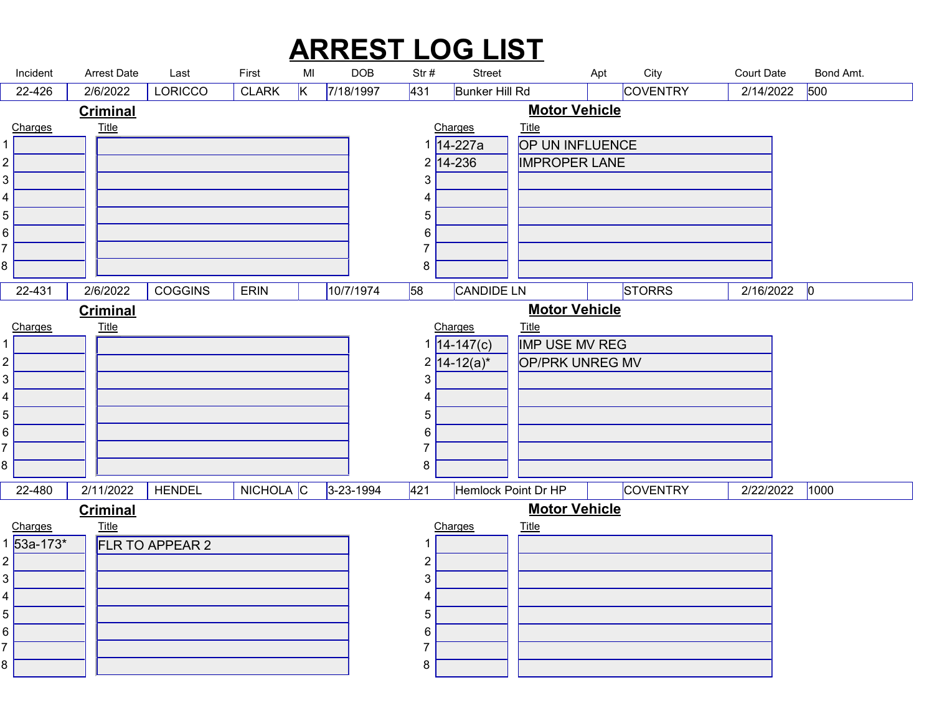## ARREST LOG LIST

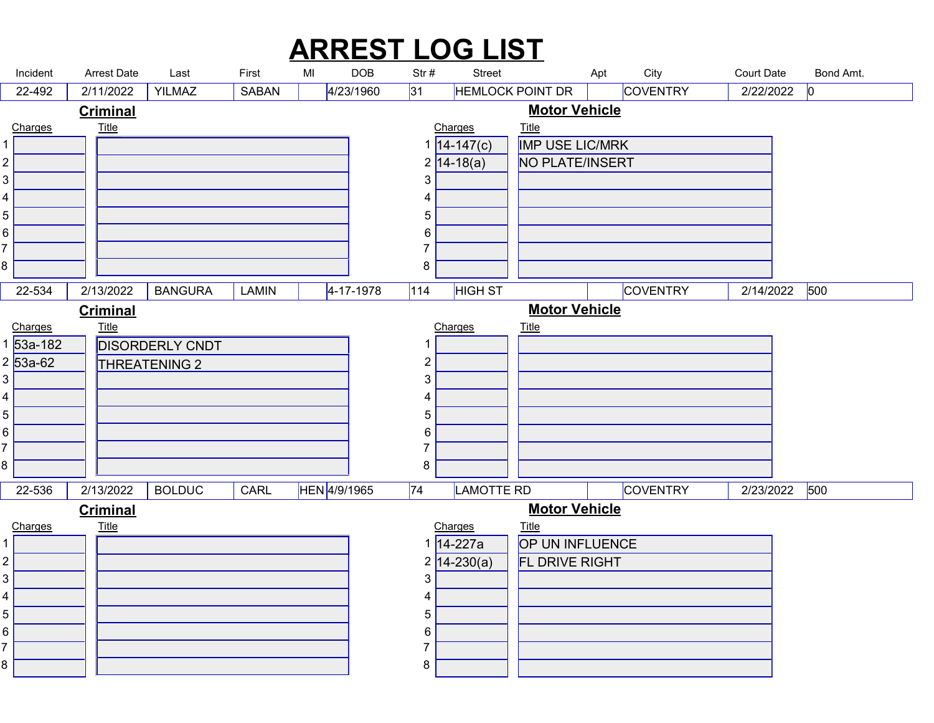## Incident Last First DOB MI Str # Street Apt City Court Date Bond Amt. ARREST LOG LIST Arrest Date Last First MI 22-492 2/11/2022 YILMAZ SABAN 4/23/1960 31 HEMLOCK POINT DR COVENTRY 2/22/2022 0 Charges **Title** that the contract of the contract of the contract of the contract of the contract of the contract of the contract of the contract of the contract of the contract of the contract of the contract of the contract of t 2/11/2022 IMP USE LIC/MRK 14-147(c) NO PLATE/INSERT 14-18(a) Charges Title and  $1$  and  $1$  and  $1$  and  $1$  and  $1$  and  $1$  and  $1$  and  $1$  and  $1$  and  $1$  and  $1$  and  $1$  and  $1$  and  $1$  and  $1$  and  $1$  and  $1$  and  $1$  and  $1$  and  $1$  and  $1$  and  $1$  and  $1$  and  $1$  and  $1$  and  $1$  and  $1$  a **Title The Community of the Community of the Community of the Community of the Community of the Community of the Community of the Community of the Community of the Community of the Community of the Community of the Commu Criminal** Motor Vehicle 22-534 BANGURA LAMIN 4-17-1978 114 HIGH ST COVENTRY 2/14/2022 500 DISORDERLY CNDT 53a-182 THREATENING 2 53a-62 Charges Title 8 a.C. (1980) and the set of the set of the set of the set of the set of the set of the set of the set of the<br>Set of the set of the set of the set of the set of the set of the set of the set of the set of the set of the **Title** that the contract of the contract of the contract of the contract of the contract of the contract of the contract of the contract of the contract of the contract of the contract of the contract of the contract of t 2/13/2022 BANGURA LAMIN 4-17-1978 Charges Title 8 a.C. (1985). A contract of the second state of the second state of the second state of the second state of t<br>1980 and 1980 and 1980 and 1980 and 1980 and 1980 and 1980 and 1980 and 1980 and 1980 and 1980 and 1980 and 19 **Title The Community of the Community of the Community of the Community of the Community of the Community of the Community of the Community of the Community of the Community of the Community of the Community of the Commu Criminal** Motor Vehicle 22-536 | 2/13/2022 | BOLDUC | CARL |HEN|4/9/1965 |74 |LAMOTTE RD | |COVENTRY | 2/23/2022 |500 | Charges Title **Title The Community of the Community of the Community of the Community of the Community of the Community of the Community of the Community of the Community of the Community of the Community of the Community of the Commu** 2/13/2022 | BOLDUC | CARL | HEN 4/9/1965 OP UN INFLUENCE 14-227a FL DRIVE RIGHT 14-230(a) Charges Title and  $1$  and  $1$  and  $1$  and  $1$  and  $1$  and  $1$  and  $1$  and  $1$  and  $1$  and  $1$  and  $1$  and  $1$  and  $1$  and  $1$  and  $1$  and  $1$  and  $1$  and  $1$  and  $1$  and  $1$  and  $1$  and  $1$  and  $1$  and  $1$  and  $1$  and  $1$  and  $1$  a **Title The Community of the Community of the Community of the Community of the Community of the Community of the Community of the Community of the Community of the Community of the Community of the Community of the Commu Criminal** Motor Vehicle